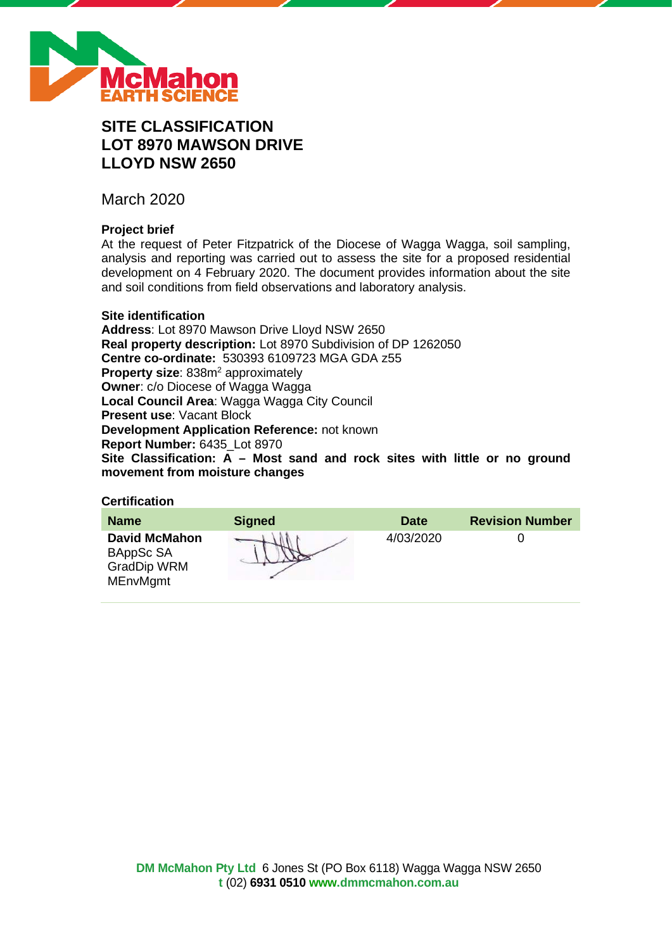

# **SITE CLASSIFICATION LOT 8970 MAWSON DRIVE LLOYD NSW 2650**

March 2020

# **Project brief**

At the request of Peter Fitzpatrick of the Diocese of Wagga Wagga, soil sampling, analysis and reporting was carried out to assess the site for a proposed residential development on 4 February 2020. The document provides information about the site and soil conditions from field observations and laboratory analysis.

# **Site identification**

**Address**: Lot 8970 Mawson Drive Lloyd NSW 2650 **Real property description:** Lot 8970 Subdivision of DP 1262050 **Centre co-ordinate:** 530393 6109723 MGA GDA z55 **Property size:** 838m<sup>2</sup> approximately **Owner**: c/o Diocese of Wagga Wagga **Local Council Area**: Wagga Wagga City Council **Present use**: Vacant Block **Development Application Reference:** not known **Report Number:** 6435\_Lot 8970 **Site Classification: A – Most sand and rock sites with little or no ground movement from moisture changes**

# **Certification**

| <b>Name</b>                                                                | <b>Signed</b> | <b>Date</b> | <b>Revision Number</b> |
|----------------------------------------------------------------------------|---------------|-------------|------------------------|
| <b>David McMahon</b><br>BAppSc SA<br><b>GradDip WRM</b><br><b>MEnvMgmt</b> |               | 4/03/2020   |                        |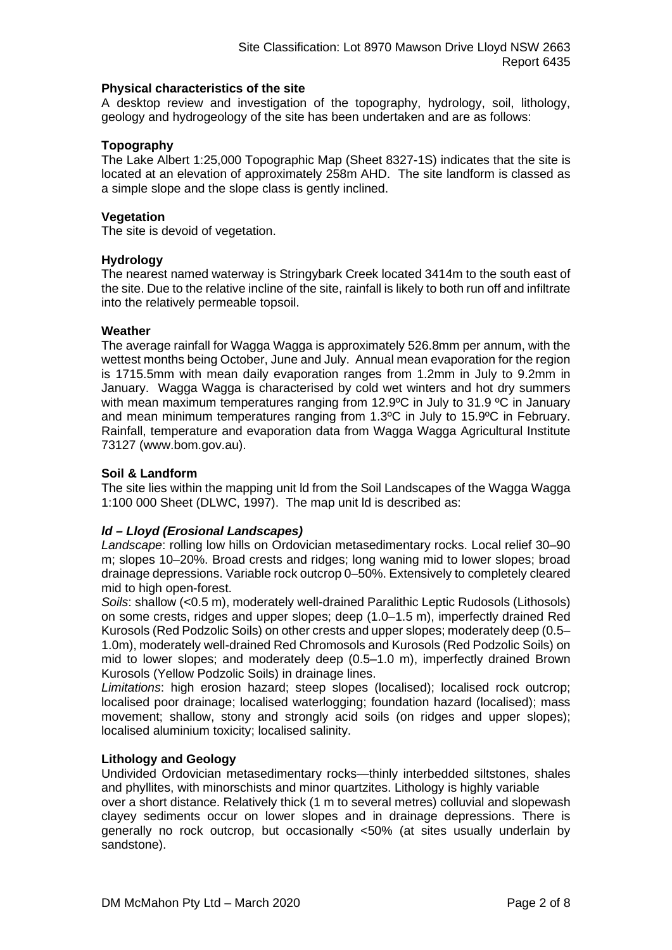#### **Physical characteristics of the site**

A desktop review and investigation of the topography, hydrology, soil, lithology, geology and hydrogeology of the site has been undertaken and are as follows:

# **Topography**

The Lake Albert 1:25,000 Topographic Map (Sheet 8327-1S) indicates that the site is located at an elevation of approximately 258m AHD. The site landform is classed as a simple slope and the slope class is gently inclined.

## **Vegetation**

The site is devoid of vegetation.

## **Hydrology**

The nearest named waterway is Stringybark Creek located 3414m to the south east of the site. Due to the relative incline of the site, rainfall is likely to both run off and infiltrate into the relatively permeable topsoil.

## **Weather**

The average rainfall for Wagga Wagga is approximately 526.8mm per annum, with the wettest months being October, June and July. Annual mean evaporation for the region is 1715.5mm with mean daily evaporation ranges from 1.2mm in July to 9.2mm in January. Wagga Wagga is characterised by cold wet winters and hot dry summers with mean maximum temperatures ranging from 12.9°C in July to 31.9 °C in January and mean minimum temperatures ranging from 1.3ºC in July to 15.9ºC in February. Rainfall, temperature and evaporation data from Wagga Wagga Agricultural Institute 73127 (www.bom.gov.au).

## **Soil & Landform**

The site lies within the mapping unit ld from the Soil Landscapes of the Wagga Wagga 1:100 000 Sheet (DLWC, 1997). The map unit ld is described as:

# *ld – Lloyd (Erosional Landscapes)*

*Landscape*: rolling low hills on Ordovician metasedimentary rocks. Local relief 30–90 m; slopes 10–20%. Broad crests and ridges; long waning mid to lower slopes; broad drainage depressions. Variable rock outcrop 0–50%. Extensively to completely cleared mid to high open-forest.

*Soils*: shallow (<0.5 m), moderately well-drained Paralithic Leptic Rudosols (Lithosols) on some crests, ridges and upper slopes; deep (1.0–1.5 m), imperfectly drained Red Kurosols (Red Podzolic Soils) on other crests and upper slopes; moderately deep (0.5– 1.0m), moderately well-drained Red Chromosols and Kurosols (Red Podzolic Soils) on mid to lower slopes; and moderately deep (0.5–1.0 m), imperfectly drained Brown Kurosols (Yellow Podzolic Soils) in drainage lines.

*Limitations*: high erosion hazard; steep slopes (localised); localised rock outcrop; localised poor drainage; localised waterlogging; foundation hazard (localised); mass movement; shallow, stony and strongly acid soils (on ridges and upper slopes); localised aluminium toxicity; localised salinity.

# **Lithology and Geology**

Undivided Ordovician metasedimentary rocks—thinly interbedded siltstones, shales and phyllites, with minorschists and minor quartzites. Lithology is highly variable

over a short distance. Relatively thick (1 m to several metres) colluvial and slopewash clayey sediments occur on lower slopes and in drainage depressions. There is generally no rock outcrop, but occasionally <50% (at sites usually underlain by sandstone).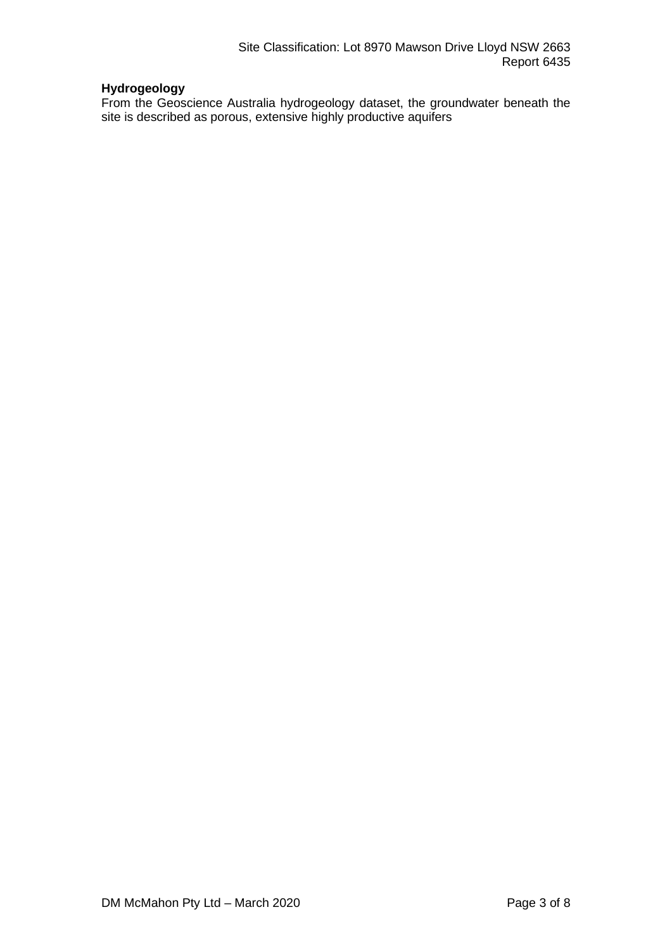# **Hydrogeology**

From the Geoscience Australia hydrogeology dataset, the groundwater beneath the site is described as porous, extensive highly productive aquifers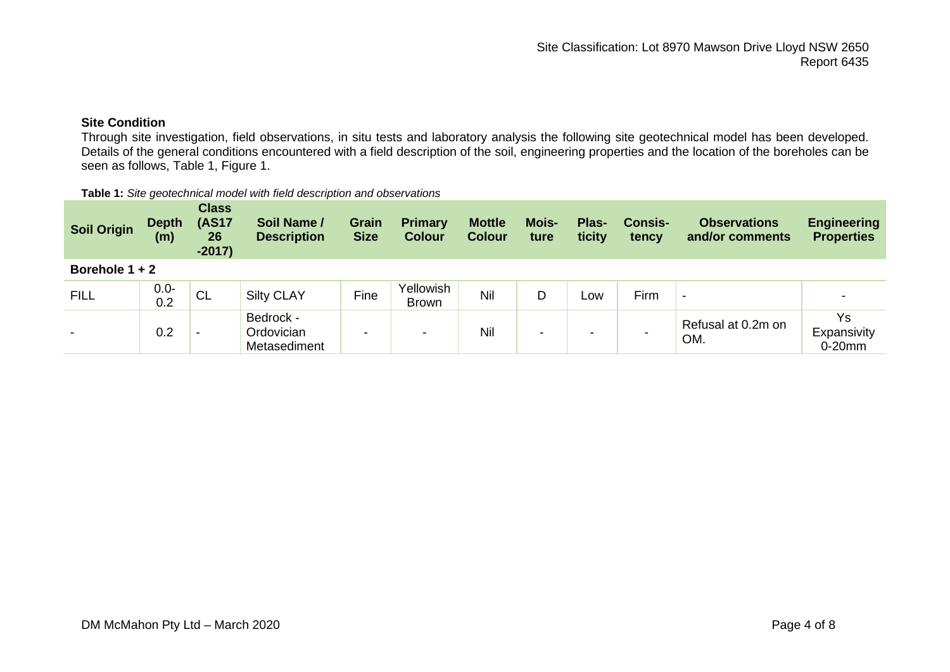# **Site Condition**

Through site investigation, field observations, in situ tests and laboratory analysis the following site geotechnical model has been developed. Details of the general conditions encountered with a field description of the soil, engineering properties and the location of the boreholes can be seen as follows, Table 1, Figure 1.

#### **Table 1:** *Site geotechnical model with field description and observations*

| <b>Soil Origin</b> | <b>Depth</b><br>(m) | <b>Class</b><br><b>(AS17</b><br>26<br>$-2017)$ | Soil Name /<br><b>Description</b>       | Grain<br><b>Size</b> | <b>Primary</b><br><b>Colour</b> | <b>Mottle</b><br><b>Colour</b> | <b>Mois-</b><br>ture | Plas-<br>ticity | <b>Consis-</b><br>tency | <b>Observations</b><br>and/or comments | <b>Engineering</b><br><b>Properties</b> |
|--------------------|---------------------|------------------------------------------------|-----------------------------------------|----------------------|---------------------------------|--------------------------------|----------------------|-----------------|-------------------------|----------------------------------------|-----------------------------------------|
| Borehole $1 + 2$   |                     |                                                |                                         |                      |                                 |                                |                      |                 |                         |                                        |                                         |
| <b>FILL</b>        | $0.0 -$<br>0.2      | <b>CL</b>                                      | <b>Silty CLAY</b>                       | Fine                 | Yellowish<br><b>Brown</b>       | Nil                            | D                    | LOW             | Firm                    | $\overline{\phantom{0}}$               |                                         |
|                    | 0.2                 | $\overline{\phantom{0}}$                       | Bedrock -<br>Ordovician<br>Metasediment | $\sim$               | -                               | Nil                            | -                    | -               |                         | Refusal at 0.2m on<br>OM.              | Ys<br>Expansivity<br>$0-20$ mm          |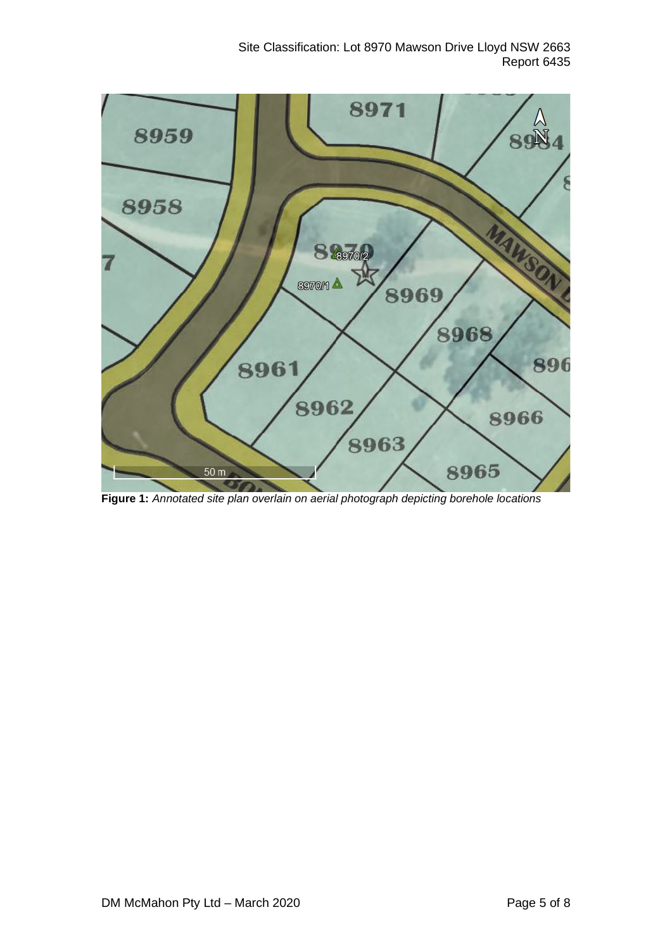

**Figure 1:** *Annotated site plan overlain on aerial photograph depicting borehole locations*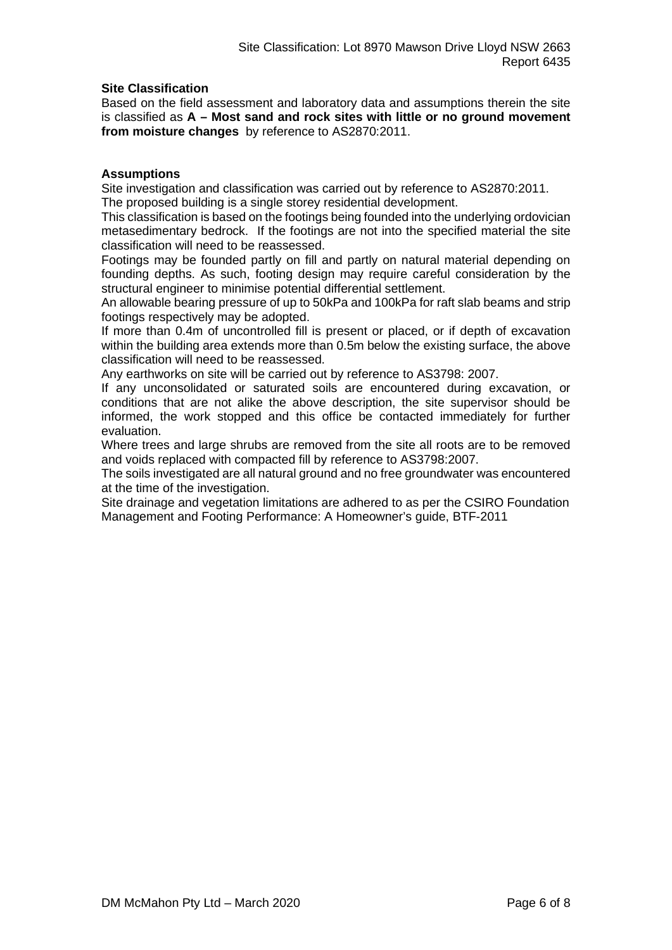# **Site Classification**

Based on the field assessment and laboratory data and assumptions therein the site is classified as **A – Most sand and rock sites with little or no ground movement from moisture changes** by reference to AS2870:2011.

## **Assumptions**

Site investigation and classification was carried out by reference to AS2870:2011. The proposed building is a single storey residential development.

This classification is based on the footings being founded into the underlying ordovician metasedimentary bedrock. If the footings are not into the specified material the site classification will need to be reassessed.

Footings may be founded partly on fill and partly on natural material depending on founding depths. As such, footing design may require careful consideration by the structural engineer to minimise potential differential settlement.

An allowable bearing pressure of up to 50kPa and 100kPa for raft slab beams and strip footings respectively may be adopted.

If more than 0.4m of uncontrolled fill is present or placed, or if depth of excavation within the building area extends more than 0.5m below the existing surface, the above classification will need to be reassessed.

Any earthworks on site will be carried out by reference to AS3798: 2007.

If any unconsolidated or saturated soils are encountered during excavation, or conditions that are not alike the above description, the site supervisor should be informed, the work stopped and this office be contacted immediately for further evaluation.

Where trees and large shrubs are removed from the site all roots are to be removed and voids replaced with compacted fill by reference to AS3798:2007.

The soils investigated are all natural ground and no free groundwater was encountered at the time of the investigation.

Site drainage and vegetation limitations are adhered to as per the CSIRO Foundation Management and Footing Performance: A Homeowner's guide, BTF-2011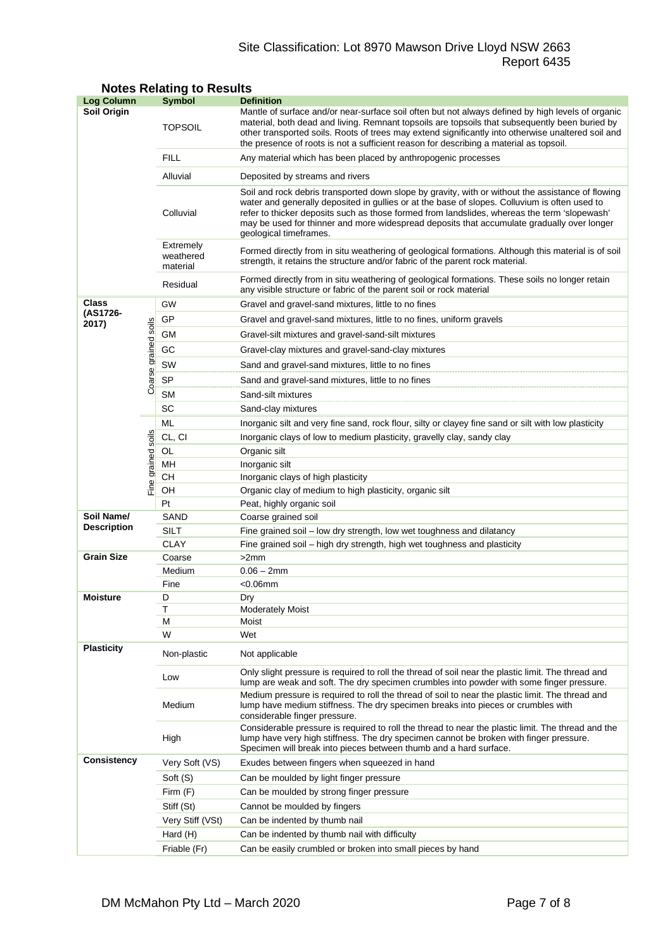# Site Classification: Lot 8970 Mawson Drive Lloyd NSW 2663 Report 6435

| <b>Log Column</b>  |                      | <b>Symbol</b>                      | <b>Definition</b>                                                                                                                                                                                                                                                                                                                                                                                                          |  |  |  |
|--------------------|----------------------|------------------------------------|----------------------------------------------------------------------------------------------------------------------------------------------------------------------------------------------------------------------------------------------------------------------------------------------------------------------------------------------------------------------------------------------------------------------------|--|--|--|
| Soil Origin        |                      | <b>TOPSOIL</b>                     | Mantle of surface and/or near-surface soil often but not always defined by high levels of organic<br>material, both dead and living. Remnant topsoils are topsoils that subsequently been buried by<br>other transported soils. Roots of trees may extend significantly into otherwise unaltered soil and<br>the presence of roots is not a sufficient reason for describing a material as topsoil.                        |  |  |  |
|                    |                      | <b>FILL</b>                        | Any material which has been placed by anthropogenic processes                                                                                                                                                                                                                                                                                                                                                              |  |  |  |
|                    |                      | Alluvial                           | Deposited by streams and rivers                                                                                                                                                                                                                                                                                                                                                                                            |  |  |  |
|                    |                      | Colluvial                          | Soil and rock debris transported down slope by gravity, with or without the assistance of flowing<br>water and generally deposited in gullies or at the base of slopes. Colluvium is often used to<br>refer to thicker deposits such as those formed from landslides, whereas the term 'slopewash'<br>may be used for thinner and more widespread deposits that accumulate gradually over longer<br>geological timeframes. |  |  |  |
|                    |                      | Extremely<br>weathered<br>material | Formed directly from in situ weathering of geological formations. Although this material is of soil<br>strength, it retains the structure and/or fabric of the parent rock material.                                                                                                                                                                                                                                       |  |  |  |
|                    |                      | Residual                           | Formed directly from in situ weathering of geological formations. These soils no longer retain<br>any visible structure or fabric of the parent soil or rock material                                                                                                                                                                                                                                                      |  |  |  |
| Class              |                      | GW                                 | Gravel and gravel-sand mixtures, little to no fines                                                                                                                                                                                                                                                                                                                                                                        |  |  |  |
| (AS1726-<br>2017)  |                      | GP                                 | Gravel and gravel-sand mixtures, little to no fines, uniform gravels                                                                                                                                                                                                                                                                                                                                                       |  |  |  |
|                    |                      | GМ                                 | Gravel-silt mixtures and gravel-sand-silt mixtures                                                                                                                                                                                                                                                                                                                                                                         |  |  |  |
|                    |                      | GC                                 | Gravel-clay mixtures and gravel-sand-clay mixtures                                                                                                                                                                                                                                                                                                                                                                         |  |  |  |
|                    |                      | SW                                 | Sand and gravel-sand mixtures, little to no fines                                                                                                                                                                                                                                                                                                                                                                          |  |  |  |
|                    | Coarse grained soils | <b>SP</b>                          | Sand and gravel-sand mixtures, little to no fines                                                                                                                                                                                                                                                                                                                                                                          |  |  |  |
|                    |                      | <b>SM</b>                          | Sand-silt mixtures                                                                                                                                                                                                                                                                                                                                                                                                         |  |  |  |
|                    |                      | SC                                 | Sand-clay mixtures                                                                                                                                                                                                                                                                                                                                                                                                         |  |  |  |
|                    |                      | ML                                 | Inorganic silt and very fine sand, rock flour, silty or clayey fine sand or silt with low plasticity                                                                                                                                                                                                                                                                                                                       |  |  |  |
|                    |                      | CL, CI                             | Inorganic clays of low to medium plasticity, gravelly clay, sandy clay                                                                                                                                                                                                                                                                                                                                                     |  |  |  |
|                    | grained soils        | OL                                 | Organic silt                                                                                                                                                                                                                                                                                                                                                                                                               |  |  |  |
|                    |                      | MH                                 | Inorganic silt                                                                                                                                                                                                                                                                                                                                                                                                             |  |  |  |
|                    |                      | <b>CH</b>                          | Inorganic clays of high plasticity                                                                                                                                                                                                                                                                                                                                                                                         |  |  |  |
| Fine               |                      | OH                                 | Organic clay of medium to high plasticity, organic silt                                                                                                                                                                                                                                                                                                                                                                    |  |  |  |
|                    |                      | Pt                                 | Peat, highly organic soil                                                                                                                                                                                                                                                                                                                                                                                                  |  |  |  |
| Soil Name/         |                      | SAND                               | Coarse grained soil                                                                                                                                                                                                                                                                                                                                                                                                        |  |  |  |
| <b>Description</b> |                      | <b>SILT</b>                        | Fine grained soil - low dry strength, low wet toughness and dilatancy                                                                                                                                                                                                                                                                                                                                                      |  |  |  |
|                    |                      | <b>CLAY</b>                        | Fine grained soil – high dry strength, high wet toughness and plasticity                                                                                                                                                                                                                                                                                                                                                   |  |  |  |
| <b>Grain Size</b>  |                      | Coarse                             | >2mm                                                                                                                                                                                                                                                                                                                                                                                                                       |  |  |  |
|                    |                      | Medium                             | $0.06 - 2mm$                                                                                                                                                                                                                                                                                                                                                                                                               |  |  |  |
| <b>Moisture</b>    |                      | Fine<br>D                          | $<$ 0.06 $<$ mm<br>Dry                                                                                                                                                                                                                                                                                                                                                                                                     |  |  |  |
|                    |                      | Τ                                  | <b>Moderately Moist</b>                                                                                                                                                                                                                                                                                                                                                                                                    |  |  |  |
|                    |                      | М                                  | Moist                                                                                                                                                                                                                                                                                                                                                                                                                      |  |  |  |
|                    |                      | W                                  | Wet                                                                                                                                                                                                                                                                                                                                                                                                                        |  |  |  |
| <b>Plasticity</b>  |                      | Non-plastic                        | Not applicable                                                                                                                                                                                                                                                                                                                                                                                                             |  |  |  |
|                    |                      | Low                                | Only slight pressure is required to roll the thread of soil near the plastic limit. The thread and<br>lump are weak and soft. The dry specimen crumbles into powder with some finger pressure.                                                                                                                                                                                                                             |  |  |  |
|                    |                      | Medium                             | Medium pressure is required to roll the thread of soil to near the plastic limit. The thread and<br>lump have medium stiffness. The dry specimen breaks into pieces or crumbles with<br>considerable finger pressure.                                                                                                                                                                                                      |  |  |  |
|                    |                      | High                               | Considerable pressure is required to roll the thread to near the plastic limit. The thread and the<br>lump have very high stiffness. The dry specimen cannot be broken with finger pressure.<br>Specimen will break into pieces between thumb and a hard surface.                                                                                                                                                          |  |  |  |
| <b>Consistency</b> |                      | Very Soft (VS)                     | Exudes between fingers when squeezed in hand                                                                                                                                                                                                                                                                                                                                                                               |  |  |  |
|                    |                      | Soft (S)                           | Can be moulded by light finger pressure                                                                                                                                                                                                                                                                                                                                                                                    |  |  |  |
|                    |                      | Firm (F)                           | Can be moulded by strong finger pressure                                                                                                                                                                                                                                                                                                                                                                                   |  |  |  |
|                    |                      | Stiff (St)                         | Cannot be moulded by fingers                                                                                                                                                                                                                                                                                                                                                                                               |  |  |  |
|                    |                      | Very Stiff (VSt)                   | Can be indented by thumb nail                                                                                                                                                                                                                                                                                                                                                                                              |  |  |  |
|                    |                      | Hard (H)                           | Can be indented by thumb nail with difficulty                                                                                                                                                                                                                                                                                                                                                                              |  |  |  |
|                    |                      | Friable (Fr)                       | Can be easily crumbled or broken into small pieces by hand                                                                                                                                                                                                                                                                                                                                                                 |  |  |  |

# **Notes Relating to Results**